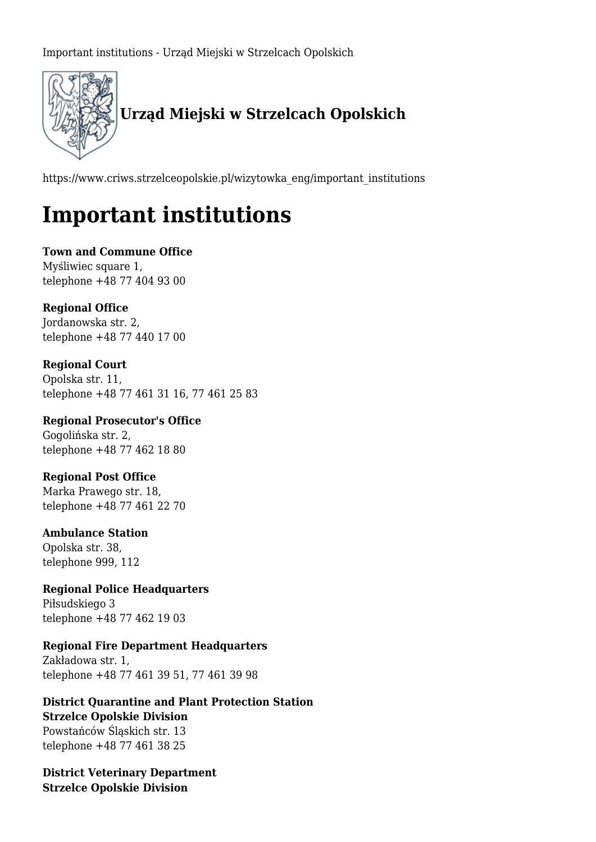

https://www.criws.strzelceopolskie.pl/wizytowka\_eng/important\_institutions

# **Important institutions**

#### **Town and Commune Office** Myśliwiec square 1,

telephone +48 77 404 93 00

## **Regional Office**

Jordanowska str. 2, telephone +48 77 440 17 00

#### **Regional Court**

Opolska str. 11, telephone +48 77 461 31 16, 77 461 25 83

#### **Regional Prosecutor's Office** Gogolińska str. 2, telephone +48 77 462 18 80

## **Regional Post Office**

Marka Prawego str. 18, telephone +48 77 461 22 70

#### **Ambulance Station**

Opolska str. 38, telephone 999, 112

# **Regional Police Headquarters**

Piłsudskiego 3 telephone +48 77 462 19 03

#### **Regional Fire Department Headquarters**

Zakładowa str. 1, telephone +48 77 461 39 51, 77 461 39 98

# **District Quarantine and Plant Protection Station**

**Strzelce Opolskie Division** Powstańców Śląskich str. 13 telephone +48 77 461 38 25

**District Veterinary Department Strzelce Opolskie Division**